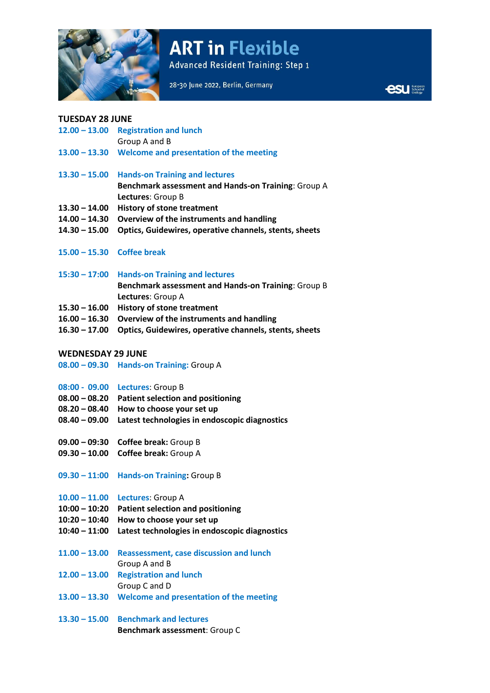

# **ART in Flexible**

**Advanced Resident Training: Step 1** 

**Express** School of

## **TUESDAY 28 JUNE**

|  | $12.00 - 13.00$ Registration and lunch                |
|--|-------------------------------------------------------|
|  | Group A and B                                         |
|  | 13.00 - 13.30 Welcome and presentation of the meeting |
|  | 13.30 - 15.00 Hands-on Training and lectures          |
|  | Benchmark assessment and Hands-on Training: Group A   |
|  | Lectures: Group B                                     |
|  | 13.30 - 14.00 History of stone treatment              |

- **14.00 – 14.30 Overview of the instruments and handling**
- **14.30 – 15.00 Optics, Guidewires, operative channels, stents, sheets**
- **15.00 – 15.30 Coffee break**
- **15:30 – 17:00 Hands-on Training and lectures Benchmark assessment and Hands-on Training**: Group B **Lectures**: Group A
- **15.30 – 16.00 History of stone treatment**
- **16.00 – 16.30 Overview of the instruments and handling**
- **16.30 – 17.00 Optics, Guidewires, operative channels, stents, sheets**

## **WEDNESDAY 29 JUNE**

**08.00 – 09.30 Hands-on Training:** Group A

- **08:00 - 09.00 Lectures**: Group B
- **08.00 – 08.20 Patient selection and positioning**
- **08.20 – 08.40 How to choose your set up**
- **08.40 – 09.00 Latest technologies in endoscopic diagnostics**
- **09.00 – 09:30 Coffee break:** Group B
- **09.30 – 10.00 Coffee break:** Group A
- **09.30 – 11:00 Hands-on Training:** Group B

### **10.00 – 11.00 Lectures**: Group A

- **10:00 – 10:20 Patient selection and positioning**
- **10:20 – 10:40 How to choose your set up**
- **10:40 – 11:00 Latest technologies in endoscopic diagnostics**
- **11.00 – 13.00 Reassessment, case discussion and lunch** Group A and B
- **12.00 – 13.00 Registration and lunch**
- Group C and D
- **13.00 – 13.30 Welcome and presentation of the meeting**
- **13.30 – 15.00 Benchmark and lectures Benchmark assessment**: Group C